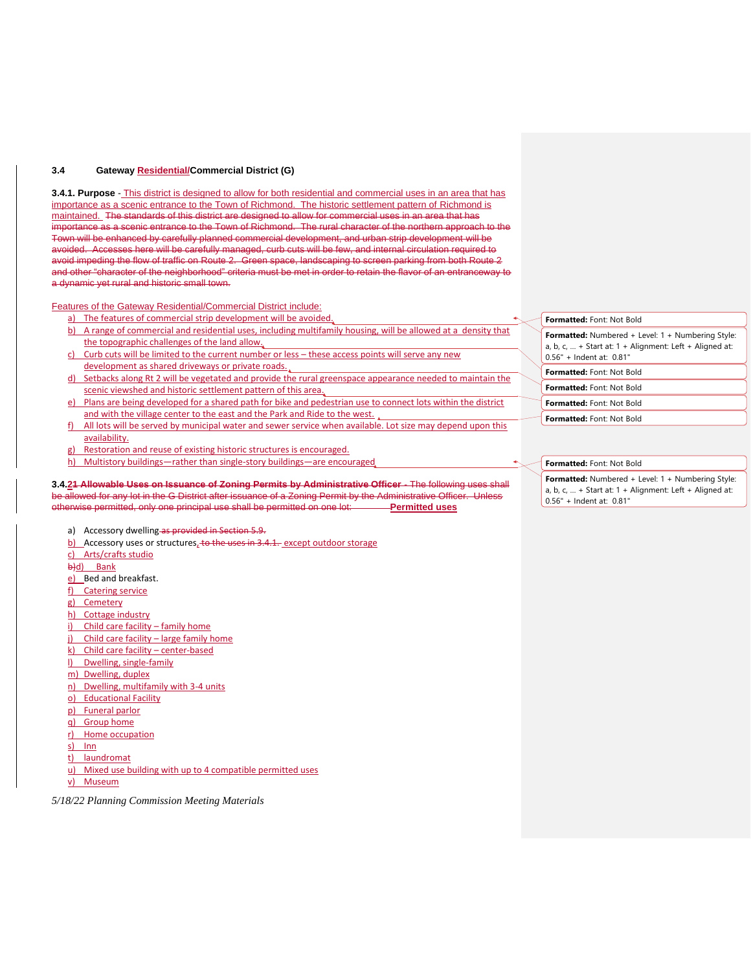### **3.4 Gateway Residential/Commercial District (G)**

**3.4.1. Purpose** - This district is designed to allow for both residential and commercial uses in an area that has importance as a scenic entrance to the Town of Richmond. The historic settlement pattern of Richmond is maintained. The standards of this district are designed to allow for commercial uses in an area that has importance as a scenic entrance to the Town of Richmond. The rural character of the northern approach to the Town will be enhanced by carefully planned commercial development, and urban strip development will be avoided. Accesses here will be carefully managed, curb cuts will be few, and internal circulation required to avoid impeding the flow of traffic on Route 2. Green space, landscaping to screen parking from both Route 2 and other "character of the neighborhood" criteria must be met in order to retain the flavor of an entranceway to a dynamic yet rural and historic small town.

Features of the Gateway Residential/Commercial District include:

- a) The features of commercial strip development will be avoided.
- b) A range of commercial and residential uses, including multifamily housing, will be allowed at a density that the topographic challenges of the land allow.
- c) Curb cuts will be limited to the current number or less these access points will serve any new development as shared driveways or private roads.
- d) Setbacks along Rt 2 will be vegetated and provide the rural greenspace appearance needed to maintain the scenic viewshed and historic settlement pattern of this area.
- e) Plans are being developed for a shared path for bike and pedestrian use to connect lots within the district and with the village center to the east and the Park and Ride to the west.
- All lots will be served by municipal water and sewer service when available. Lot size may depend upon this availability.
- g) Restoration and reuse of existing historic structures is encouraged.
- h) Multistory buildings—rather than single-story buildings—are encouraged

#### **3.4.21 Allowable Uses on Issuance of Zoning Permits by Administrative Officer** - The following uses shall be allowed for any lot in the G District after issuance of a Zoning Permit by the Administrative Officer. Unless otherwise permitted, only one principal use shall be permitted on one lot: **Permitted uses**

- a) Accessory dwelling as provided in Section 5.9.
- $\underline{b}$  Accessory uses or structures, to the uses in 3.4.1. except outdoor storage
- c) Arts/crafts studio
- b)d) Bank
- e) Bed and breakfast.
- f) Catering service
- g) Cemetery
- h) Cottage industry
- i) Child care facility family home
- j) Child care facility large family home
- k) Child care facility center-based
- l) Dwelling, single-family
- m) Dwelling, duplex
- n) Dwelling, multifamily with 3-4 units
- o) Educational Facility
- p) Funeral parlor
- q) Group home
- r) Home occupation
- s) Inn
- t) laundromat
- u) Mixed use building with up to 4 compatible permitted uses
- v) Museum

*5/18/22 Planning Commission Meeting Materials*

## **Formatted:** Numbered + Level: 1 + Numbering Style: a, b,  $c$ , ... + Start at:  $1 +$  Alignment: Left + Aligned at: 0.56" + Indent at: 0.81" **Formatted:** Font: Not Bold **Formatted:** Font: Not Bold

**Formatted:** Font: Not Bold

**Formatted:** Font: Not Bold **Formatted:** Font: Not Bold

# **Formatted:** Font: Not Bold

## **Formatted:** Numbered + Level: 1 + Numbering Style: a, b, c, … + Start at: 1 + Alignment: Left + Aligned at:

0.56" + Indent at: 0.81"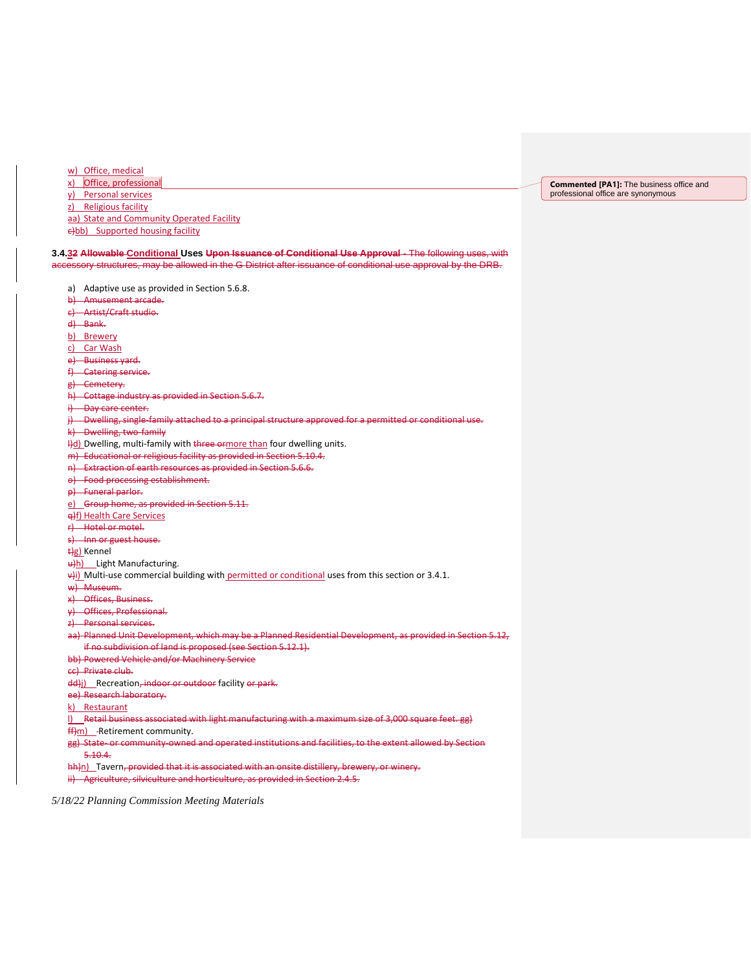w) Office, medical

x) Office, professional

y) Personal services

z) Religious facility

aa) State and Community Operated Facility

e)bb) Supported housing facility

**3.4.32 Allowable Conditional Uses Upon Issuance of Conditional Use Approval** - The following uses, with accessory structures, may be allowed in the G District after issuance of conditional use approval by the DRB.

- a) Adaptive use as provided in Section 5.6.8.
- b) Amusement arcade.
- c) Artist/Craft studio.
- d) Bank.
- b) Brewery
- c) Car Wash
- e) Business yard.
- f) Catering service.
- g) Cemetery.
- h) Cottage industry as provided in Section 5.6.7.
- i) Day care center.
- j) Dwelling, single-family attached to a principal structure approved for a permitted or conditional use.
- k) Dwelling, two-family
- Hd) Dwelling, multi-family with three ormore than four dwelling units.
- m) Educational or religious facility as provided in Section 5.10.4.
- n) Extraction of earth resources as provided in Section 5.6.6.
- o) Food processing establishment.
- p) Funeral parlor.
- e) Group home, as provided in Section 5.11.
- q)f) Health Care Services
- r) Hotel or motel.
- s) Inn or guest house.
- t)g) Kennel
- u)h) Light Manufacturing.
- $\frac{u}{v}$ ) Multi-use commercial building with permitted or conditional uses from this section or 3.4.1.
- w) Museum.
- x) Offices, Business.
- y) Offices, Professional.
- z) Personal services.
- aa) Planned Unit Development, which may be a Planned Residential Development, as provided in Section 5.12, if no subdivision of land is proposed (see Section 5.12.1).
- bb) Powered Vehicle and/or Machinery Service
- cc) Private club.
- dd)j) Recreation, indoor or outdoor facility or park.
- ee) Research laboratory.
- k) Restaurant
- l) Retail business associated with light manufacturing with a maximum size of 3,000 square feet. gg)
- ff)m) -Retirement community.
- gg) State- or community-owned and operated institutions and facilities, to the extent allowed by Section 5.10.4.
- 

hh)n) Tavern, provided that it is associated with an onsite distillery, brewery, or winery. ii) Agriculture, silviculture and horticulture, as provided in Section 2.4.5.

*5/18/22 Planning Commission Meeting Materials*

**Commented [PA1]:** The business office and professional office are synonymous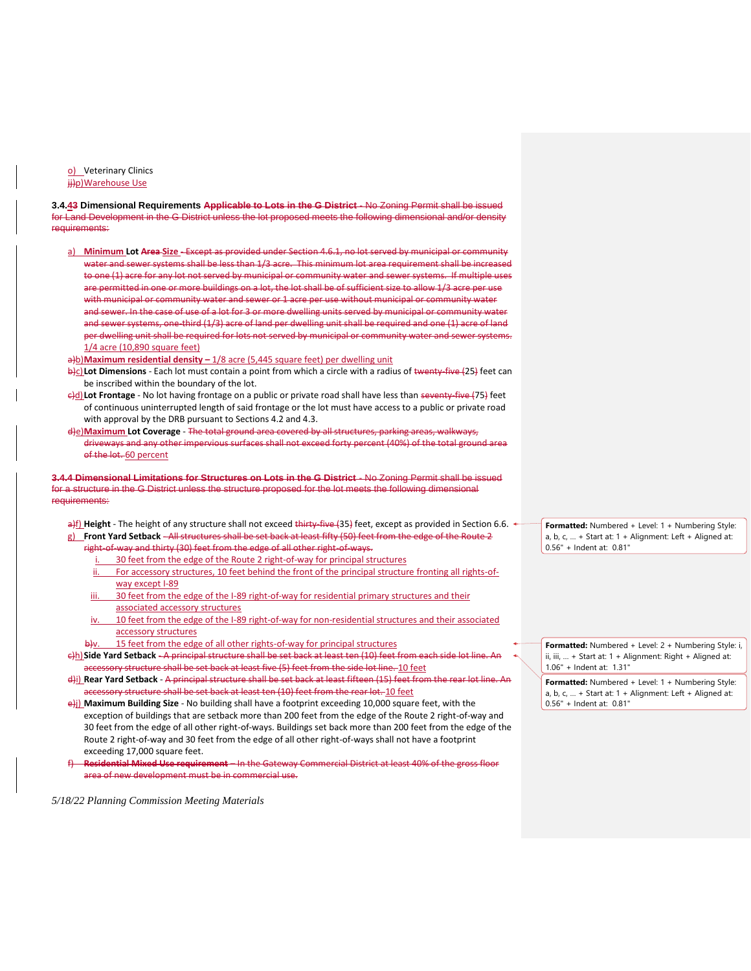o) Veterinary Clinics ji)p)Warehouse Use

**3.4.43 Dimensional Requirements Applicable to Lots in the G District** - No Zoning Permit shall be issued for Land Development in the G District unless the lot proposed meets the following dimensional and/or density requirements:

- a) **Minimum Lot Area Size** Except as provided under Section 4.6.1, no lot served by municipal or community water and sewer systems shall be less than 1/3 acre. This minimum lot area requirement shall be increased to one (1) acre for any lot not served by municipal or community water and sewer systems. If multiple uses are permitted in one or more buildings on a lot, the lot shall be of sufficient size to allow 1/3 acre per use with municipal or community water and sewer or 1 acre per use without municipal or community water and sewer. In the case of use of a lot for 3 or more dwelling units served by municipal or community water and sewer systems, one-third (1/3) acre of land per dwelling unit shall be required and one (1) acre of land per dwelling unit shall be required for lots not served by municipal or community water and sewer systems.  $1/4$  acre (10,890 square feet)
- a)b)**Maximum residential density** 1/8 acre (5,445 square feet) per dwelling unit
- b)c)**Lot Dimensions** Each lot must contain a point from which a circle with a radius of twenty-five (25) feet can be inscribed within the boundary of the lot.
- $\theta$ )**Lot Frontage** No lot having frontage on a public or private road shall have less than seventy-five (75) feet of continuous uninterrupted length of said frontage or the lot must have access to a public or private road with approval by the DRB pursuant to Sections 4.2 and 4.3.
- d)e)**Maximum Lot Coverage** The total ground area covered by all structures, parking areas, walkways, driveways and any other impervious surfaces shall not exceed forty percent (40%) of the total ground area of the lot. 60 percent

**3.4.4 Dimensional Limitations for Structures on Lots in the G District** - No Zoning Permit shall be issued for a structure in the G District unless the structure proposed for the lot meets the following dimensional requirements:

a)f) Height - The height of any structure shall not exceed thirty-five (35) feet, except as provided in Section 6.6. <sup>←</sup> g) **Front Yard Setback** - All structures shall be set back at least fifty (50) feet from the edge of the Route 2

- right-of-way and thirty (30) feet from the edge of all other right-of-ways.
	- i. 30 feet from the edge of the Route 2 right-of-way for principal structures
	- ii. For accessory structures, 10 feet behind the front of the principal structure fronting all rights-ofway except I-89
- iii. 30 feet from the edge of the I-89 right-of-way for residential primary structures and their associated accessory structures
- iv. 10 feet from the edge of the I-89 right-of-way for non-residential structures and their associated accessory structures
- 15 feet from the edge of all other rights-of-way for principal structures
- c)h)**Side Yard Setback** A principal structure shall be set back at least ten (10) feet from each side lot line. An accessory structure shall be set back at least five (5) feet from the side lot line. 10 feet
- d)i) **Rear Yard Setback** A principal structure shall be set back at least fifteen (15) feet from the rear lot line. An accessory structure shall be set back at least ten (10) feet from the rear lot. 10 feet

e)j) **Maximum Building Size** - No building shall have a footprint exceeding 10,000 square feet, with the exception of buildings that are setback more than 200 feet from the edge of the Route 2 right-of-way and 30 feet from the edge of all other right-of-ways. Buildings set back more than 200 feet from the edge of the Route 2 right-of-way and 30 feet from the edge of all other right-of-ways shall not have a footprint exceeding 17,000 square feet.

f) **Residential Mixed Use requirement** – In the Gateway Commercial District at least 40% of the gross floor area of new development must be in commercial use.

*5/18/22 Planning Commission Meeting Materials*

**Formatted:** Numbered + Level: 1 + Numbering Style: a, b,  $c$ , ... + Start at:  $1 +$  Alignment: Left + Aligned at: 0.56" + Indent at: 0.81"

**Formatted:** Numbered + Level: 2 + Numbering Style: i, ii, iii, … + Start at: 1 + Alignment: Right + Aligned at: 1.06" + Indent at: 1.31"

**Formatted:** Numbered + Level: 1 + Numbering Style: a, b, c, ... + Start at:  $1 +$  Alignment: Left + Aligned at: 0.56" + Indent at: 0.81"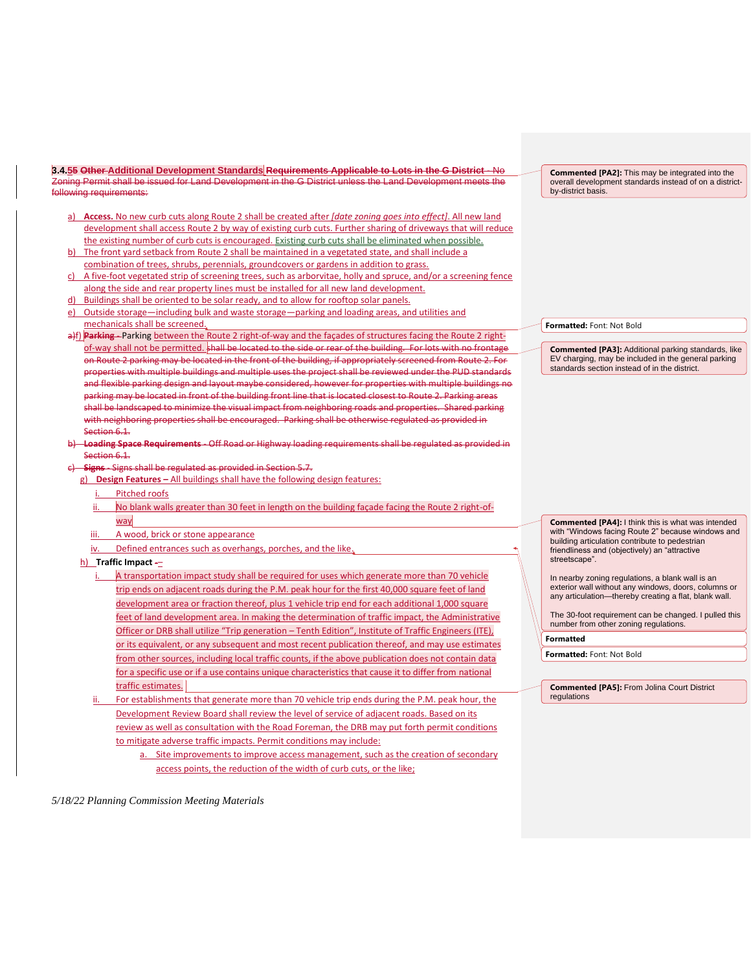**3.4.55 Other Additional Development Standards Requirements Applicable to Lots in the G District** - No Zoning Permit shall be issued for Land Development in the G District unless the Land Development meets the following requirements:

- a) **Access.** No new curb cuts along Route 2 shall be created after *[date zoning goes into effect]*. All new land development shall access Route 2 by way of existing curb cuts. Further sharing of driveways that will reduce the existing number of curb cuts is encouraged. Existing curb cuts shall be eliminated when possible.
- b) The front yard setback from Route 2 shall be maintained in a vegetated state, and shall include a combination of trees, shrubs, perennials, groundcovers or gardens in addition to grass.
- A five-foot vegetated strip of screening trees, such as arborvitae, holly and spruce, and/or a screening fence along the side and rear property lines must be installed for all new land development.
- Buildings shall be oriented to be solar ready, and to allow for rooftop solar panels.
- e) Outside storage—including bulk and waste storage—parking and loading areas, and utilities and mechanicals shall be screened.
- a)f) **Parking** Parking between the Route 2 right-of-way and the façades of structures facing the Route 2 rightof-way shall not be permitted. shall be located to the side or rear of the building. For lots with no frontage on Route 2 parking may be located in the front of the building, if appropriately screened from Route 2. For properties with multiple buildings and multiple uses the project shall be reviewed under the PUD standards and flexible parking design and layout maybe considered, however for properties with multiple buildings no parking may be located in front of the building front line that is located closest to Route 2. Parking areas shall be landscaped to minimize the visual impact from neighboring roads and properties. Shared parking with neighboring properties shall be encouraged. Parking shall be otherwise regulated as provided in Section 6.1.
- b) **Loading Space Requirements** Off Road or Highway loading requirements shall be regulated as provided in Section 6.1.
- c) **Signs** Signs shall be regulated as provided in Section 5.7.
	- g) **Design Features –** All buildings shall have the following design features:
		- i. Pitched roofs
		- ii. No blank walls greater than 30 feet in length on the building façade facing the Route 2 right-ofway
		- iii. A wood, brick or stone appearance
		- iv. Defined entrances such as overhangs, porches, and the like.
	- h) **Traffic Impact** -
		- i. A transportation impact study shall be required for uses which generate more than 70 vehicle trip ends on adjacent roads during the P.M. peak hour for the first 40,000 square feet of land development area or fraction thereof, plus 1 vehicle trip end for each additional 1,000 square feet of land development area. In making the determination of traffic impact, the Administrative Officer or DRB shall utilize "Trip generation – Tenth Edition", Institute of Traffic Engineers (ITE), or its equivalent, or any subsequent and most recent publication thereof, and may use estimates from other sources, including local traffic counts, if the above publication does not contain data for a specific use or if a use contains unique characteristics that cause it to differ from national traffic estimates.
		- ii. For establishments that generate more than 70 vehicle trip ends during the P.M. peak hour, the Development Review Board shall review the level of service of adjacent roads. Based on its review as well as consultation with the Road Foreman, the DRB may put forth permit conditions to mitigate adverse traffic impacts. Permit conditions may include:
			- a. Site improvements to improve access management, such as the creation of secondary access points, the reduction of the width of curb cuts, or the like;

*5/18/22 Planning Commission Meeting Materials*

**Commented [PA2]:** This may be integrated into the overall development standards instead of on a districtby-district basis.

**Formatted:** Font: Not Bold

**Commented [PA3]:** Additional parking standards, like EV charging, may be included in the general parking standards section instead of in the district.

**Commented [PA4]:** I think this is what was intended with "Windows facing Route 2" because windows and building articulation contribute to pedestrian friendliness and (objectively) an "attractive streetscape".

In nearby zoning regulations, a blank wall is an exterior wall without any windows, doors, columns or any articulation—thereby creating a flat, blank wall.

The 30-foot requirement can be changed. I pulled this number from other zoning regulations.

**Formatted**

**Formatted:** Font: Not Bold

**Commented [PA5]:** From Jolina Court District regulations